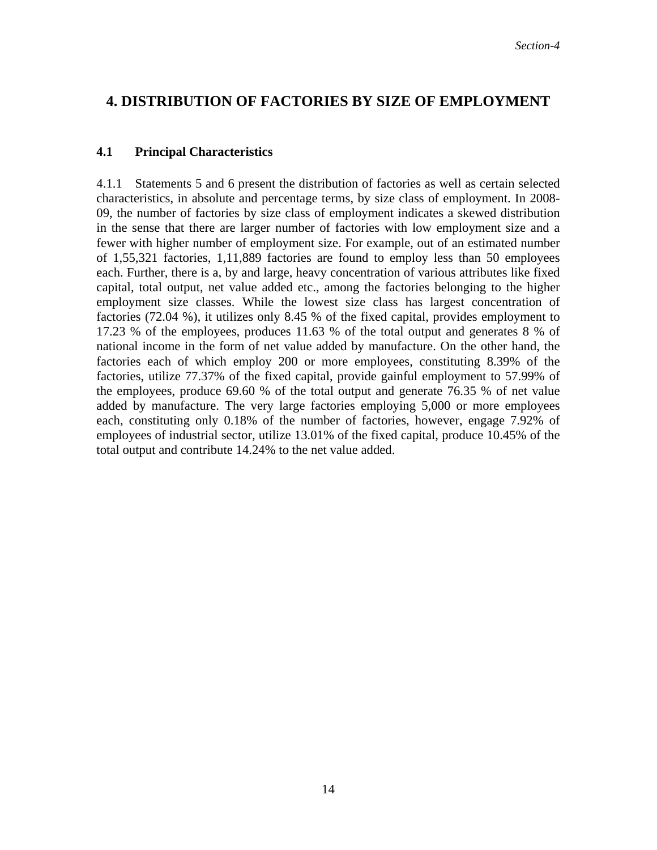## **4. DISTRIBUTION OF FACTORIES BY SIZE OF EMPLOYMENT**

## **4.1 Principal Characteristics**

4.1.1 Statements 5 and 6 present the distribution of factories as well as certain selected characteristics, in absolute and percentage terms, by size class of employment. In 2008- 09, the number of factories by size class of employment indicates a skewed distribution in the sense that there are larger number of factories with low employment size and a fewer with higher number of employment size. For example, out of an estimated number of 1,55,321 factories, 1,11,889 factories are found to employ less than 50 employees each. Further, there is a, by and large, heavy concentration of various attributes like fixed capital, total output, net value added etc., among the factories belonging to the higher employment size classes. While the lowest size class has largest concentration of factories (72.04 %), it utilizes only 8.45 % of the fixed capital, provides employment to 17.23 % of the employees, produces 11.63 % of the total output and generates 8 % of national income in the form of net value added by manufacture. On the other hand, the factories each of which employ 200 or more employees, constituting 8.39% of the factories, utilize 77.37% of the fixed capital, provide gainful employment to 57.99% of the employees, produce 69.60 % of the total output and generate 76.35 % of net value added by manufacture. The very large factories employing 5,000 or more employees each, constituting only 0.18% of the number of factories, however, engage 7.92% of employees of industrial sector, utilize 13.01% of the fixed capital, produce 10.45% of the total output and contribute 14.24% to the net value added.